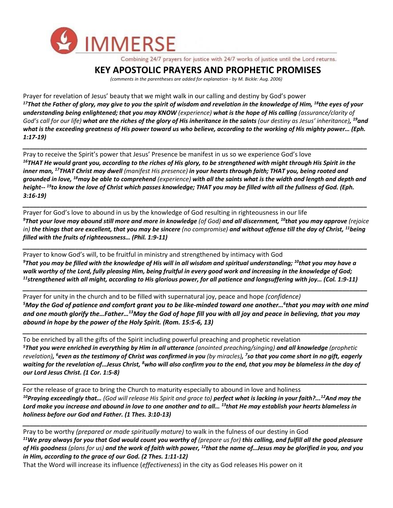

Combining 24/7 prayers for justice with 24/7 works of justice until the Lord returns.

## **KEY APOSTOLIC PRAYERS AND PROPHETIC PROMISES**

*(comments in the parentheses are added for explanation - by M. Bickle: Aug. 2006)*

Prayer for revelation of Jesus' beauty that we might walk in our calling and destiny by God's power *<sup>17</sup>That the Father of glory, may give to you the spirit of wisdom and revelation in the knowledge of Him, <sup>18</sup>the eyes of your understanding being enlightened; that you may KNOW (experience) what is the hope of His calling (assurance/clarity of God's call for our life) what are the riches of the glory of His inheritance in the saints (our destiny as Jesus' inheritance), <sup>19</sup>and what is the exceeding greatness of His power toward us who believe, according to the working of His mighty power… (Eph. 1:17-19)*

Pray to receive the Spirit's power that Jesus' Presence be manifest in us so we experience God's love *<sup>16</sup>THAT He would grant you, according to the riches of His glory, to be strengthened with might through His Spirit in the inner man, <sup>17</sup>THAT Christ may dwell (manifest His presence) in your hearts through faith; THAT you, being rooted and grounded in love, <sup>18</sup>may be able to comprehend (experience) with all the saints what is the width and length and depth and height-- <sup>19</sup>to know the love of Christ which passes knowledge; THAT you may be filled with all the fullness of God. (Eph. 3:16-19)*

*\_\_\_\_\_\_\_\_\_\_\_\_\_\_\_\_\_\_\_\_\_\_\_\_\_\_\_\_\_\_\_\_\_\_\_\_\_\_\_\_\_\_\_\_\_\_\_\_\_\_\_\_\_\_\_\_\_\_\_\_\_\_\_\_\_\_\_\_\_\_\_\_\_\_\_\_\_\_\_\_\_\_\_\_\_\_\_\_\_\_\_\_\_\_\_\_\_\_*

Prayer for God's love to abound in us by the knowledge of God resulting in righteousness in our life *<sup>9</sup>That your love may abound still more and more in knowledge (of God) and all discernment, <sup>10</sup>that you may approve (rejoice in) the things that are excellent, that you may be sincere (no compromise) and without offense till the day of Christ, <sup>11</sup>being filled with the fruits of righteousness… (Phil. 1:9-11)*

*\_\_\_\_\_\_\_\_\_\_\_\_\_\_\_\_\_\_\_\_\_\_\_\_\_\_\_\_\_\_\_\_\_\_\_\_\_\_\_\_\_\_\_\_\_\_\_\_\_\_\_\_\_\_\_\_\_\_\_\_\_\_\_\_\_\_\_\_\_\_\_\_\_\_\_\_\_\_\_\_\_\_\_\_\_\_\_\_\_\_\_\_\_\_\_\_\_\_*

*\_\_\_\_\_\_\_\_\_\_\_\_\_\_\_\_\_\_\_\_\_\_\_\_\_\_\_\_\_\_\_\_\_\_\_\_\_\_\_\_\_\_\_\_\_\_\_\_\_\_\_\_\_\_\_\_\_\_\_\_\_\_\_\_\_\_\_\_\_\_\_\_\_\_\_\_\_\_\_\_\_\_\_\_\_\_\_\_\_\_\_\_\_\_\_\_\_\_*

Prayer to know God's will, to be fruitful in ministry and strengthened by intimacy with God *<sup>9</sup>That you may be filled with the knowledge of His will in all wisdom and spiritual understanding; <sup>10</sup>that you may have a walk worthy of the Lord, fully pleasing Him, being fruitful in every good work and increasing in the knowledge of God; <sup>11</sup>strengthened with all might, according to His glorious power, for all patience and longsuffering with joy… (Col. 1:9-11)*

Prayer for unity in the church and to be filled with supernatural joy, peace and hope *(confidence) <sup>5</sup>May the God of patience and comfort grant you to be like-minded toward one another…<sup>6</sup> that you may with one mind and one mouth glorify the…Father…<sup>13</sup>May the God of hope fill you with all joy and peace in believing, that you may abound in hope by the power of the Holy Spirit. (Rom. 15:5-6, 13)*

*\_\_\_\_\_\_\_\_\_\_\_\_\_\_\_\_\_\_\_\_\_\_\_\_\_\_\_\_\_\_\_\_\_\_\_\_\_\_\_\_\_\_\_\_\_\_\_\_\_\_\_\_\_\_\_\_\_\_\_\_\_\_\_\_\_\_\_\_\_\_\_\_\_\_\_\_\_\_\_\_\_\_\_\_\_\_\_\_\_\_\_\_\_\_\_\_\_\_*

*\_\_\_\_\_\_\_\_\_\_\_\_\_\_\_\_\_\_\_\_\_\_\_\_\_\_\_\_\_\_\_\_\_\_\_\_\_\_\_\_\_\_\_\_\_\_\_\_\_\_\_\_\_\_\_\_\_\_\_\_\_\_\_\_\_\_\_\_\_\_\_\_\_\_\_\_\_\_\_\_\_\_\_\_\_\_\_\_\_\_\_\_\_\_\_\_\_\_*

To be enriched by all the gifts of the Spirit including powerful preaching and prophetic revelation *<sup>5</sup>That you were enriched in everything by Him in all utterance (anointed preaching/singing) and all knowledge (prophetic revelation), <sup>6</sup>even as the testimony of Christ was confirmed in you (by miracles), 7 so that you come short in no gift, eagerly waiting for the revelation of…Jesus Christ, <sup>8</sup>who will also confirm you to the end, that you may be blameless in the day of our Lord Jesus Christ. (1 Cor. 1:5-8)*

For the release of grace to bring the Church to maturity especially to abound in love and holiness *<sup>10</sup>Praying exceedingly that… (God will release His Spirit and grace to) perfect what is lacking in your faith?...<sup>12</sup>And may the Lord make you increase and abound in love to one another and to all… <sup>13</sup>that He may establish your hearts blameless in holiness before our God and Father. (1 Thes. 3:10-13)*

*\_\_\_\_\_\_\_\_\_\_\_\_\_\_\_\_\_\_\_\_\_\_\_\_\_\_\_\_\_\_\_\_\_\_\_\_\_\_\_\_\_\_\_\_\_\_\_\_\_\_\_\_\_\_\_\_\_\_\_\_\_\_\_\_\_\_\_\_\_\_\_\_\_\_\_\_\_\_\_\_\_\_\_\_\_\_\_\_\_\_\_\_\_\_\_\_\_\_*

Pray to be worthy *(prepared or made spiritually mature)* to walk in the fulness of our destiny in God <sup>11</sup>We pray always for you that God would count you worthy of (prepare us for) this calling, and fulfill all the good pleasure *of His goodness (plans for us) and the work of faith with power, <sup>12</sup>that the name of…Jesus may be glorified in you, and you in Him, according to the grace of our God. (2 Thes. 1:11-12)*

*\_\_\_\_\_\_\_\_\_\_\_\_\_\_\_\_\_\_\_\_\_\_\_\_\_\_\_\_\_\_\_\_\_\_\_\_\_\_\_\_\_\_\_\_\_\_\_\_\_\_\_\_\_\_\_\_\_\_\_\_\_\_\_\_\_\_\_\_\_\_\_\_\_\_\_\_\_\_\_\_\_\_\_\_\_\_\_\_\_\_\_\_\_\_\_\_\_\_*

That the Word will increase its influence (*effectiveness*) in the city as God releases His power on it